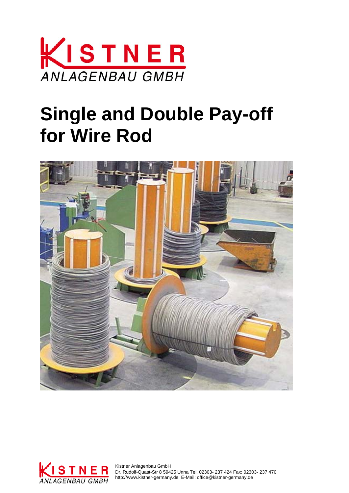

# **Single and Double Pay-off for Wire Rod**





 Dr. Rudolf-Quast-Str 8 59425 Unna Tel. 02303- 237 424 Fax: 02303- 237 470 http://www.kistner-germany.de E-Mail: office@kistner-germany.de